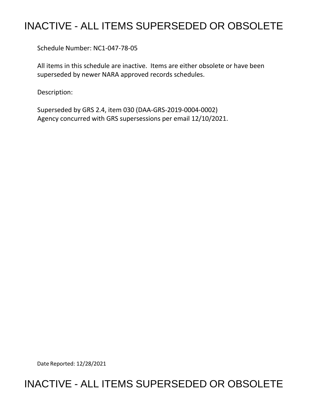## INACTIVE - ALL ITEMS SUPERSEDED OR OBSOLETE

Schedule Number: NC1-047-78-05

 All items in this schedule are inactive. Items are either obsolete or have been superseded by newer NARA approved records schedules.

Description:

 Superseded by GRS 2.4, item 030 (DAA-GRS-2019-0004-0002) Agency concurred with GRS supersessions per email 12/10/2021.

Date Reported: 12/28/2021

## INACTIVE - ALL ITEMS SUPERSEDED OR OBSOLETE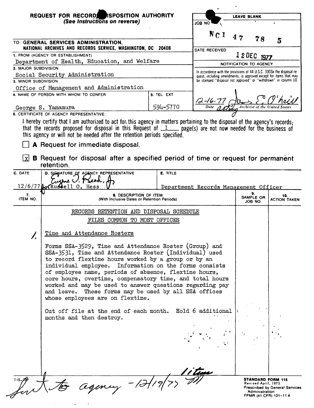|                                                                      | REQUEST FOR RECORD RSPOSITION AUTHORITY<br>(See Instructions on reverse)                                                                                                                 |                 | ON BOL                             | <b>LEAVE BLANK</b>                    |                                                                                                                                             |
|----------------------------------------------------------------------|------------------------------------------------------------------------------------------------------------------------------------------------------------------------------------------|-----------------|------------------------------------|---------------------------------------|---------------------------------------------------------------------------------------------------------------------------------------------|
|                                                                      |                                                                                                                                                                                          |                 |                                    |                                       |                                                                                                                                             |
|                                                                      |                                                                                                                                                                                          |                 |                                    |                                       |                                                                                                                                             |
|                                                                      | TO: GENERAL SERVICES ADMINISTRATION,                                                                                                                                                     |                 | $N_{\text{C}}1$                    | 47<br>78                              | 5                                                                                                                                           |
| NATIONAL ARCHIVES AND RECORDS SERVICE, WASHINGTON, DC 20408          |                                                                                                                                                                                          | DATE RECEIVED   |                                    |                                       |                                                                                                                                             |
| 1. FROM (AGENCY OR ESTABLISHMENT)                                    |                                                                                                                                                                                          |                 |                                    | 1 2 DEC 1977                          |                                                                                                                                             |
| Department of Health, Education, and Welfare<br>2. MAJOR SUBDIVISION |                                                                                                                                                                                          |                 | NOTIFICATION TO AGENCY             |                                       |                                                                                                                                             |
|                                                                      | Social Security Administration                                                                                                                                                           |                 |                                    |                                       | In accordance with the provisions of 44 U.S.C. 3303a the disposal re-<br>quest, including amendments, is approved except for items that may |
| 3. MINOR SUBDIVISION                                                 |                                                                                                                                                                                          |                 |                                    |                                       | be stamped "disposal not approved" or "withdrawn" in column 10.                                                                             |
|                                                                      | Office of Management and Administration<br>4. NAME OF PERSON WITH WHOM TO CONFER                                                                                                         | 5. TEL. EXT.    |                                    |                                       |                                                                                                                                             |
|                                                                      |                                                                                                                                                                                          |                 |                                    |                                       |                                                                                                                                             |
| George S. Yamamura                                                   |                                                                                                                                                                                          | 594–5770        | $\frac{12 - 16 - 77}{\text{Date}}$ |                                       |                                                                                                                                             |
|                                                                      | 6. CERTIFICATE OF AGENCY REPRESENTATIVE:                                                                                                                                                 |                 |                                    |                                       |                                                                                                                                             |
|                                                                      | I hereby certify that I am authorized to act for this agency in matters pertaining to the disposal of the agency's records;                                                              |                 |                                    |                                       |                                                                                                                                             |
|                                                                      | that the records proposed for disposal in this Request of $1$ page(s) are not now needed for the business of<br>this agency or will not be needed after the retention periods specified. |                 |                                    |                                       |                                                                                                                                             |
|                                                                      |                                                                                                                                                                                          |                 |                                    |                                       |                                                                                                                                             |
|                                                                      | A Request for immediate disposal.                                                                                                                                                        |                 |                                    |                                       |                                                                                                                                             |
| l xl                                                                 | <b>B</b> Request for disposal after a specified period of time or request for permanent                                                                                                  |                 |                                    |                                       |                                                                                                                                             |
|                                                                      | retention.                                                                                                                                                                               |                 |                                    |                                       |                                                                                                                                             |
| C. DATE                                                              | D. SJGNATURE OF AGENCY REPRESENTATIVE                                                                                                                                                    | <b>E. TITLE</b> |                                    |                                       |                                                                                                                                             |
|                                                                      | Corre V. Preed,                                                                                                                                                                          |                 |                                    |                                       |                                                                                                                                             |
|                                                                      | 12/6/77 Av Russell 0. Hess<br>Department Records Management Officer                                                                                                                      |                 |                                    | 9.                                    |                                                                                                                                             |
| 7.<br>ITEM NO.                                                       | 8. DESCRIPTION OF ITEM<br>(With Inclusive Dates or Retention Periods)                                                                                                                    |                 |                                    | SAMPLE OR<br>JOB NO.                  | 10.<br><b>ACTION TAKEN</b>                                                                                                                  |
|                                                                      | RECORDS RETENTION AND DISPOSAL SCHEDULE                                                                                                                                                  |                 |                                    |                                       |                                                                                                                                             |
|                                                                      | FILES COMMON TO MOST OFFICES                                                                                                                                                             |                 |                                    |                                       |                                                                                                                                             |
|                                                                      |                                                                                                                                                                                          |                 |                                    |                                       |                                                                                                                                             |
| Î.                                                                   | Time and Attendance Rosters                                                                                                                                                              |                 |                                    |                                       |                                                                                                                                             |
|                                                                      | Forms SSA-3529, Time and Attendance Roster (Group) and                                                                                                                                   |                 |                                    |                                       |                                                                                                                                             |
|                                                                      | SSA-3531, Time and Attendance Roster (Individual) used                                                                                                                                   |                 |                                    |                                       |                                                                                                                                             |
|                                                                      | to record flextime hours worked by a group or by an                                                                                                                                      |                 |                                    |                                       |                                                                                                                                             |
|                                                                      | individual employee. Information on the forms consists<br>of employee name, periods of absence, flextime hours,                                                                          |                 |                                    |                                       |                                                                                                                                             |
|                                                                      | core hours, overtime, compensatory time, and total hours                                                                                                                                 |                 |                                    |                                       |                                                                                                                                             |
|                                                                      | worked and may be used to answer questions regarding pay                                                                                                                                 |                 |                                    |                                       |                                                                                                                                             |
|                                                                      | and leave. These forms may be used by all SSA offices<br>whose employees are on flextime.                                                                                                |                 |                                    |                                       |                                                                                                                                             |
|                                                                      |                                                                                                                                                                                          |                 |                                    |                                       |                                                                                                                                             |
|                                                                      | Cut off file at the end of each month. Hold 6 additional                                                                                                                                 |                 |                                    |                                       |                                                                                                                                             |
|                                                                      | months and then destroy.                                                                                                                                                                 |                 |                                    |                                       |                                                                                                                                             |
|                                                                      |                                                                                                                                                                                          |                 |                                    |                                       |                                                                                                                                             |
|                                                                      |                                                                                                                                                                                          |                 |                                    |                                       |                                                                                                                                             |
|                                                                      |                                                                                                                                                                                          |                 |                                    |                                       |                                                                                                                                             |
|                                                                      |                                                                                                                                                                                          |                 |                                    |                                       |                                                                                                                                             |
|                                                                      |                                                                                                                                                                                          |                 |                                    |                                       |                                                                                                                                             |
|                                                                      |                                                                                                                                                                                          |                 |                                    |                                       |                                                                                                                                             |
|                                                                      |                                                                                                                                                                                          |                 |                                    |                                       | <b>STANDARD FORM 115</b>                                                                                                                    |
|                                                                      |                                                                                                                                                                                          |                 |                                    |                                       |                                                                                                                                             |
|                                                                      | agency - 12/19                                                                                                                                                                           |                 |                                    | Revised April, 1975<br>Administration | <b>Prescribed by General Services</b>                                                                                                       |